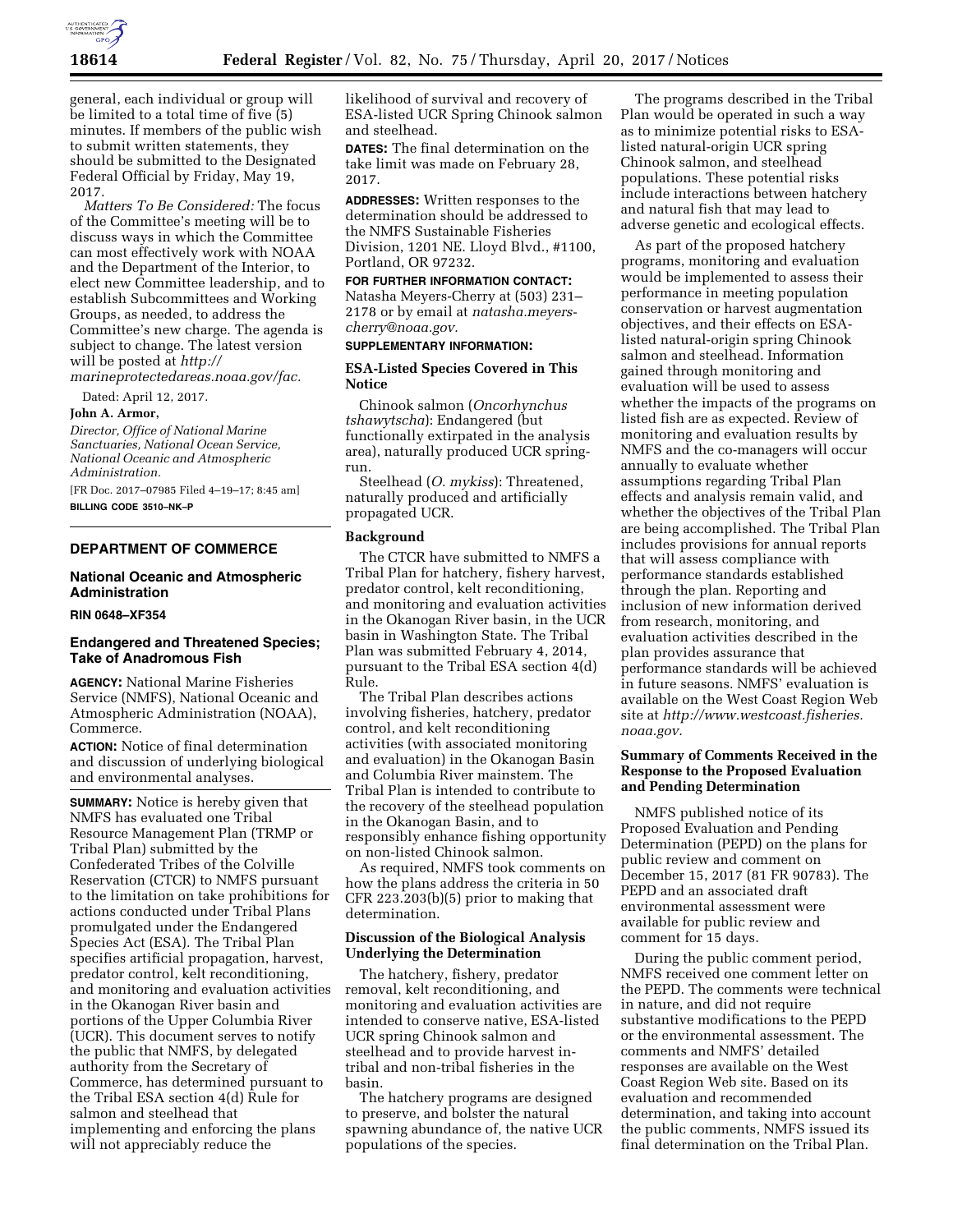

general, each individual or group will be limited to a total time of five (5) minutes. If members of the public wish to submit written statements, they should be submitted to the Designated Federal Official by Friday, May 19, 2017.

*Matters To Be Considered:* The focus of the Committee's meeting will be to discuss ways in which the Committee can most effectively work with NOAA and the Department of the Interior, to elect new Committee leadership, and to establish Subcommittees and Working Groups, as needed, to address the Committee's new charge. The agenda is subject to change. The latest version will be posted at *[http://](http://marineprotectedareas.noaa.gov/fac) [marineprotectedareas.noaa.gov/fac.](http://marineprotectedareas.noaa.gov/fac)* 

Dated: April 12, 2017.

## **John A. Armor,**

*Director, Office of National Marine Sanctuaries, National Ocean Service, National Oceanic and Atmospheric Administration.* 

[FR Doc. 2017–07985 Filed 4–19–17; 8:45 am] **BILLING CODE 3510–NK–P** 

# **DEPARTMENT OF COMMERCE**

## **National Oceanic and Atmospheric Administration**

#### **RIN 0648–XF354**

## **Endangered and Threatened Species; Take of Anadromous Fish**

**AGENCY:** National Marine Fisheries Service (NMFS), National Oceanic and Atmospheric Administration (NOAA), Commerce.

**ACTION:** Notice of final determination and discussion of underlying biological and environmental analyses.

**SUMMARY:** Notice is hereby given that NMFS has evaluated one Tribal Resource Management Plan (TRMP or Tribal Plan) submitted by the Confederated Tribes of the Colville Reservation (CTCR) to NMFS pursuant to the limitation on take prohibitions for actions conducted under Tribal Plans promulgated under the Endangered Species Act (ESA). The Tribal Plan specifies artificial propagation, harvest, predator control, kelt reconditioning, and monitoring and evaluation activities in the Okanogan River basin and portions of the Upper Columbia River (UCR). This document serves to notify the public that NMFS, by delegated authority from the Secretary of Commerce, has determined pursuant to the Tribal ESA section 4(d) Rule for salmon and steelhead that implementing and enforcing the plans will not appreciably reduce the

likelihood of survival and recovery of ESA-listed UCR Spring Chinook salmon and steelhead.

**DATES:** The final determination on the take limit was made on February 28, 2017.

**ADDRESSES:** Written responses to the determination should be addressed to the NMFS Sustainable Fisheries Division, 1201 NE. Lloyd Blvd., #1100, Portland, OR 97232.

## **FOR FURTHER INFORMATION CONTACT:**  Natasha Meyers-Cherry at (503) 231–

2178 or by email at *[natasha.meyers](mailto:natasha.meyers-cherry@noaa.gov)[cherry@noaa.gov.](mailto:natasha.meyers-cherry@noaa.gov)* 

## **SUPPLEMENTARY INFORMATION:**

## **ESA-Listed Species Covered in This Notice**

Chinook salmon (*Oncorhynchus tshawytscha*): Endangered (but functionally extirpated in the analysis area), naturally produced UCR springrun.

Steelhead (*O. mykiss*): Threatened, naturally produced and artificially propagated UCR.

## **Background**

The CTCR have submitted to NMFS a Tribal Plan for hatchery, fishery harvest, predator control, kelt reconditioning, and monitoring and evaluation activities in the Okanogan River basin, in the UCR basin in Washington State. The Tribal Plan was submitted February 4, 2014, pursuant to the Tribal ESA section 4(d) Rule.

The Tribal Plan describes actions involving fisheries, hatchery, predator control, and kelt reconditioning activities (with associated monitoring and evaluation) in the Okanogan Basin and Columbia River mainstem. The Tribal Plan is intended to contribute to the recovery of the steelhead population in the Okanogan Basin, and to responsibly enhance fishing opportunity on non-listed Chinook salmon.

As required, NMFS took comments on how the plans address the criteria in 50 CFR 223.203(b)(5) prior to making that determination.

## **Discussion of the Biological Analysis Underlying the Determination**

The hatchery, fishery, predator removal, kelt reconditioning, and monitoring and evaluation activities are intended to conserve native, ESA-listed UCR spring Chinook salmon and steelhead and to provide harvest intribal and non-tribal fisheries in the basin.

The hatchery programs are designed to preserve, and bolster the natural spawning abundance of, the native UCR populations of the species.

The programs described in the Tribal Plan would be operated in such a way as to minimize potential risks to ESAlisted natural-origin UCR spring Chinook salmon, and steelhead populations. These potential risks include interactions between hatchery and natural fish that may lead to adverse genetic and ecological effects.

As part of the proposed hatchery programs, monitoring and evaluation would be implemented to assess their performance in meeting population conservation or harvest augmentation objectives, and their effects on ESAlisted natural-origin spring Chinook salmon and steelhead. Information gained through monitoring and evaluation will be used to assess whether the impacts of the programs on listed fish are as expected. Review of monitoring and evaluation results by NMFS and the co-managers will occur annually to evaluate whether assumptions regarding Tribal Plan effects and analysis remain valid, and whether the objectives of the Tribal Plan are being accomplished. The Tribal Plan includes provisions for annual reports that will assess compliance with performance standards established through the plan. Reporting and inclusion of new information derived from research, monitoring, and evaluation activities described in the plan provides assurance that performance standards will be achieved in future seasons. NMFS' evaluation is available on the West Coast Region Web site at *[http://www.westcoast.fisheries.](http://www.westcoast.fisheries.noaa.gov) [noaa.gov.](http://www.westcoast.fisheries.noaa.gov)* 

## **Summary of Comments Received in the Response to the Proposed Evaluation and Pending Determination**

NMFS published notice of its Proposed Evaluation and Pending Determination (PEPD) on the plans for public review and comment on December 15, 2017 (81 FR 90783). The PEPD and an associated draft environmental assessment were available for public review and comment for 15 days.

During the public comment period, NMFS received one comment letter on the PEPD. The comments were technical in nature, and did not require substantive modifications to the PEPD or the environmental assessment. The comments and NMFS' detailed responses are available on the West Coast Region Web site. Based on its evaluation and recommended determination, and taking into account the public comments, NMFS issued its final determination on the Tribal Plan.